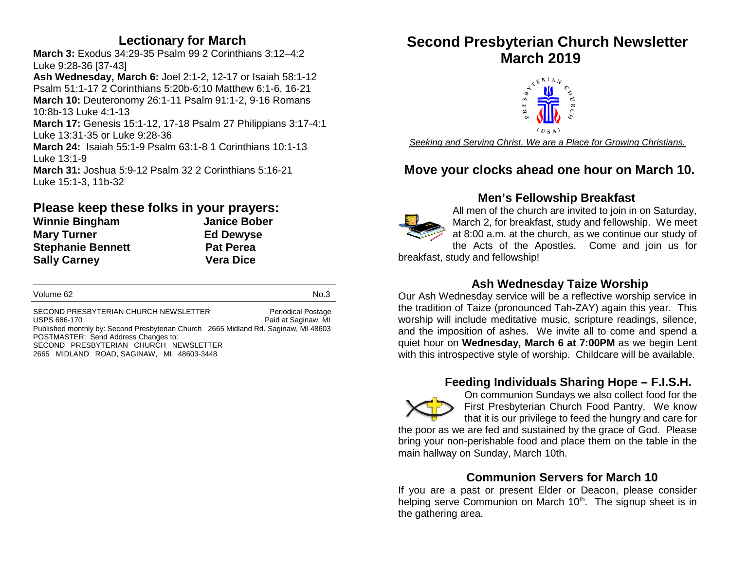## **Lectionary for March**

**March 3:** Exodus 34:29-35 Psalm 99 2 Corinthians 3:12–4:2 Luke 9:28-36 [37-43]

**Ash Wednesday, March 6:** Joel 2:1-2, 12-17 or Isaiah 58:1-12 Psalm 51:1-17 2 Corinthians 5:20b-6:10 Matthew 6:1-6, 16-21 **March 10:** Deuteronomy 26:1-11 Psalm 91:1-2, 9-16 Romans 10:8b-13 Luke 4:1-13

**March 17:** Genesis 15:1-12, 17-18 Psalm 27 Philippians 3:17-4:1 Luke 13:31-35 or Luke 9:28-36

> **Ed Dewyse Pat Perea Sally Carney Vera Dice**

**March 24:** Isaiah 55:1-9 Psalm 63:1-8 1 Corinthians 10:1-13 Luke 13:1-9 **March 31:** Joshua 5:9-12 Psalm 32 2 Corinthians 5:16-21

Luke 15:1-3, 11b-32

#### **Please keep these folks in your prayers: Janice Bober**

| <b>Winnie Bingham</b>    |  |
|--------------------------|--|
| <b>Mary Turner</b>       |  |
| <b>Stephanie Bennett</b> |  |
| <b>Sally Carney</b>      |  |

Volume 62 No.3

SECOND PRESBYTERIAN CHURCH NEWSLETTER<br>USPS 686-170 Paid at Saginaw. MI Paid at Saginaw, MI Published monthly by: Second Presbyterian Church 2665 Midland Rd. Saginaw, MI 48603 POSTMASTER: Send Address Changes to: SECOND PRESBYTERIAN CHURCH NEWSLETTER

2665 MIDLAND ROAD, SAGINAW, MI. 48603-3448

# **Second Presbyterian Church Newsletter**



*Seeking and Serving Christ, We are a Place for Growing Christians.*

## **Move your clocks ahead one hour on March 10.**

## **Men's Fellowship Breakfast**



All men of the church are invited to join in on Saturday, March 2, for breakfast, study and fellowship. We meet at 8:00 a.m. at the church, as we continue our study of the Acts of the Apostles. Come and join us for

breakfast, study and fellowship!

## **Ash Wednesday Taize Worship**

Our Ash Wednesday service will be a reflective worship service in the tradition of Taize (pronounced Tah-ZAY) again this year. This worship will include meditative music, scripture readings, silence, and the imposition of ashes. We invite all to come and spend a quiet hour on **Wednesday, March 6 at 7:00PM** as we begin Lent with this introspective style of worship. Childcare will be available.

## **Feeding Individuals Sharing Hope – F.I.S.H.**



On communion Sundays we also collect food for the First Presbyterian Church Food Pantry. We know that it is our privilege to feed the hungry and care for

the poor as we are fed and sustained by the grace of God. Please bring your non-perishable food and place them on the table in the main hallway on Sunday, March 10th.

## **Communion Servers for March 10**

If you are a past or present Elder or Deacon, please consider helping serve Communion on March 10<sup>th</sup>. The signup sheet is in the gathering area.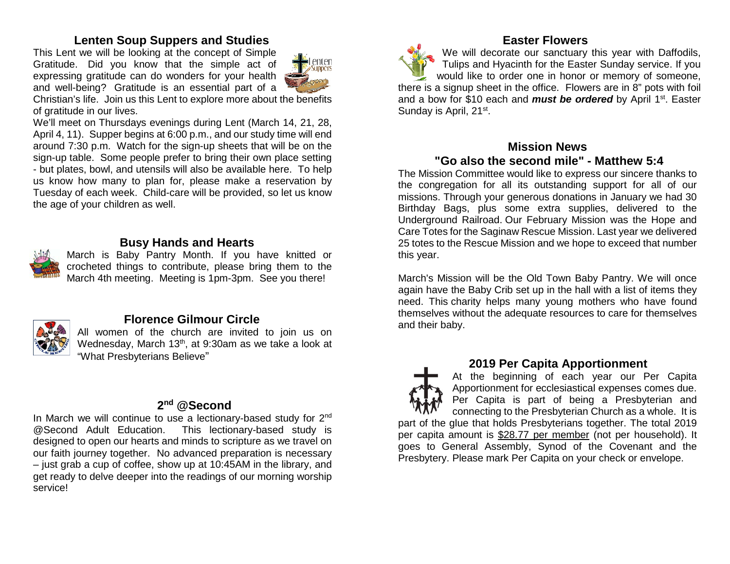## **Lenten Soup Suppers and Studies**

This Lent we will be looking at the concept of Simple Gratitude. Did you know that the simple act of expressing gratitude can do wonders for your health and well-being? Gratitude is an essential part of a



Christian's life. Join us this Lent to explore more about the benefits of gratitude in our lives.

We'll meet on Thursdays evenings during Lent (March 14, 21, 28, April 4, 11). Supper begins at 6:00 p.m., and our study time will end around 7:30 p.m. Watch for the sign-up sheets that will be on the sign-up table. Some people prefer to bring their own place setting - but plates, bowl, and utensils will also be available here. To help us know how many to plan for, please make a reservation by Tuesday of each week. Child-care will be provided, so let us know the age of your children as well.

## **Busy Hands and Hearts**

March is Baby Pantry Month. If you have knitted or crocheted things to contribute, please bring them to the March 4th meeting. Meeting is 1pm-3pm. See you there!



## **Florence Gilmour Circle**

All women of the church are invited to join us on Wednesday, March 13<sup>th</sup>, at 9:30am as we take a look at "What Presbyterians Believe"

#### **2nd @Second**

In March we will continue to use a lectionary-based study for 2<sup>nd</sup> @Second Adult Education. This lectionary-based study is designed to open our hearts and minds to scripture as we travel on our faith journey together. No advanced preparation is necessary – just grab a cup of coffee, show up at 10:45AM in the library, and get ready to delve deeper into the readings of our morning worship service!

## **Easter Flowers**

We will decorate our sanctuary this year with Daffodils, Tulips and Hyacinth for the Easter Sunday service. If you would like to order one in honor or memory of someone, there is a signup sheet in the office. Flowers are in 8" pots with foil and a bow for \$10 each and *must be ordered* by April 1<sup>st</sup>. Easter Sunday is April, 21<sup>st</sup>.

## **Mission News**

## **"Go also the second mile" - Matthew 5:4**

The Mission Committee would like to express our sincere thanks to the congregation for all its outstanding support for all of our missions. Through your generous donations in January we had 30 Birthday Bags, plus some extra supplies, delivered to the Underground Railroad. Our February Mission was the Hope and Care Totes for the Saginaw Rescue Mission. Last year we delivered 25 totes to the Rescue Mission and we hope to exceed that number this year.

March's Mission will be the Old Town Baby Pantry. We will once again have the Baby Crib set up in the hall with a list of items they need. This charity helps many young mothers who have found themselves without the adequate resources to care for themselves and their baby.



## **2019 Per Capita Apportionment**

At the beginning of each year our Per Capita Apportionment for ecclesiastical expenses comes due. Per Capita is part of being a Presbyterian and connecting to the Presbyterian Church as a whole. It is part of the glue that holds Presbyterians together. The total 2019 per capita amount is \$28.77 per member (not per household). It

goes to General Assembly, Synod of the Covenant and the Presbytery. Please mark Per Capita on your check or envelope.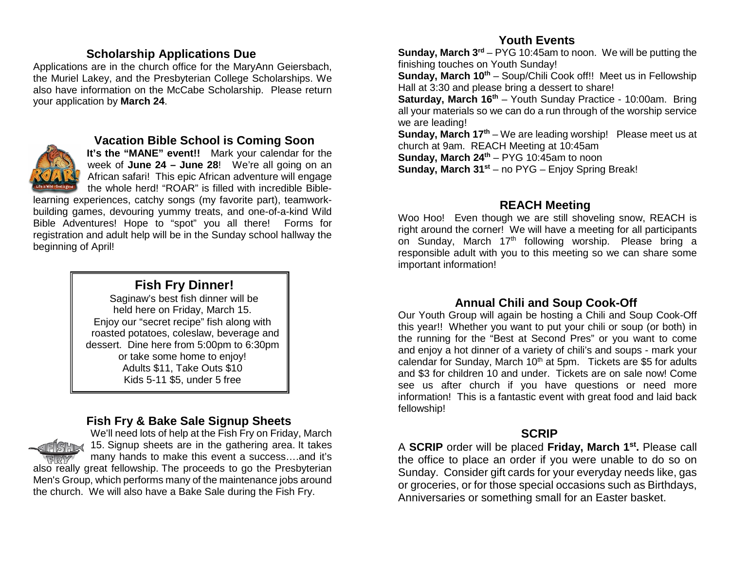## **Scholarship Applications Due**

Applications are in the church office for the MaryAnn Geiersbach, the Muriel Lakey, and the Presbyterian College Scholarships. We also have information on the McCabe Scholarship. Please return your application by **March 24**.



#### **Vacation Bible School is Coming Soon**

**It's the "MANE" event!!** Mark your calendar for the week of **June 24 – June 28**! We're all going on an African safari! This epic African adventure will engage the whole herd! "ROAR" is filled with incredible Bible-

learning experiences, catchy songs (my favorite part), teamworkbuilding games, devouring yummy treats, and one-of-a-kind Wild Bible Adventures! Hope to "spot" you all there! Forms for registration and adult help will be in the Sunday school hallway the beginning of April!

## **Fish Fry Dinner!**

Saginaw's best fish dinner will be held here on Friday, March 15. Enjoy our "secret recipe" fish along with roasted potatoes, coleslaw, beverage and dessert. Dine here from 5:00pm to 6:30pm or take some home to enjoy! Adults \$11, Take Outs \$10 Kids 5-11 \$5, under 5 free

## **Fish Fry & Bake Sale Signup Sheets**

We'll need lots of help at the Fish Fry on Friday, March 15. Signup sheets are in the gathering area. It takes many hands to make this event a success….and it's also really great fellowship. The proceeds to go the Presbyterian Men's Group, which performs many of the maintenance jobs around the church. We will also have a Bake Sale during the Fish Fry.

#### **Youth Events**

**Sunday, March 3<sup>rd</sup>** – PYG 10:45am to noon. We will be putting the finishing touches on Youth Sunday!

**Sunday, March 10<sup>th</sup>** – Soup/Chili Cook off!! Meet us in Fellowship Hall at 3:30 and please bring a dessert to share!

**Saturday, March 16<sup>th</sup>** – Youth Sunday Practice - 10:00am. Bring all your materials so we can do a run through of the worship service we are leading!

**Sunday, March 17<sup>th</sup>** – We are leading worship! Please meet us at church at 9am. REACH Meeting at 10:45am

**Sunday, March 24<sup>th</sup>** – PYG 10:45am to noon

**Sunday, March 31st** – no PYG – Enjoy Spring Break!

## **REACH Meeting**

Woo Hoo! Even though we are still shoveling snow, REACH is right around the corner! We will have a meeting for all participants on Sunday, March 17<sup>th</sup> following worship. Please bring a responsible adult with you to this meeting so we can share some important information!

## **Annual Chili and Soup Cook-Off**

Our Youth Group will again be hosting a Chili and Soup Cook-Off this year!! Whether you want to put your chili or soup (or both) in the running for the "Best at Second Pres" or you want to come and enjoy a hot dinner of a variety of chili's and soups - mark your calendar for Sunday, March  $10<sup>th</sup>$  at 5pm. Tickets are \$5 for adults and \$3 for children 10 and under. Tickets are on sale now! Come see us after church if you have questions or need more information! This is a fantastic event with great food and laid back fellowship!

## **SCRIP**

A **SCRIP** order will be placed **Friday, March 1st.** Please call the office to place an order if you were unable to do so on Sunday. Consider gift cards for your everyday needs like, gas or groceries, or for those special occasions such as Birthdays, Anniversaries or something small for an Easter basket.